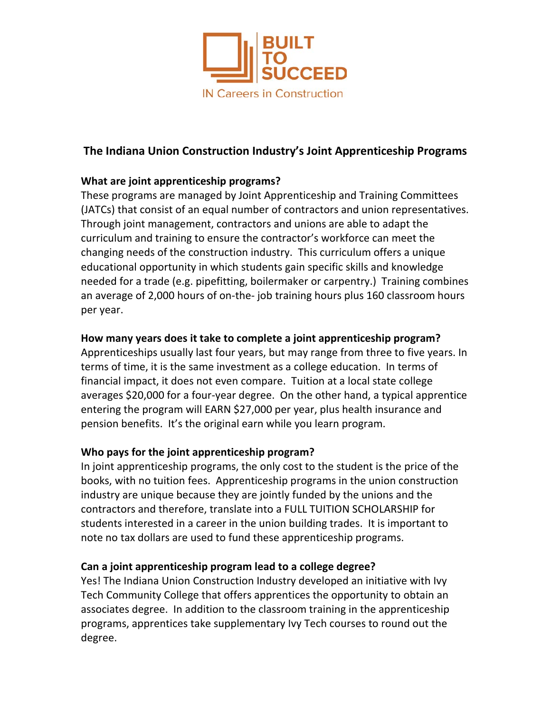

# **The Indiana Union Construction Industry's Joint Apprenticeship Programs**

## **What are joint apprenticeship programs?**

These programs are managed by Joint Apprenticeship and Training Committees (JATCs) that consist of an equal number of contractors and union representatives. Through joint management, contractors and unions are able to adapt the curriculum and training to ensure the contractor's workforce can meet the changing needs of the construction industry. This curriculum offers a unique educational opportunity in which students gain specific skills and knowledge needed for a trade (e.g. pipefitting, boilermaker or carpentry.) Training combines an average of 2,000 hours of on-the- job training hours plus 160 classroom hours per year.

#### **How many years does it take to complete a joint apprenticeship program?**

Apprenticeships usually last four years, but may range from three to five years. In terms of time, it is the same investment as a college education. In terms of financial impact, it does not even compare. Tuition at a local state college averages \$20,000 for a four-year degree. On the other hand, a typical apprentice entering the program will EARN \$27,000 per year, plus health insurance and pension benefits. It's the original earn while you learn program.

# **Who pays for the joint apprenticeship program?**

In joint apprenticeship programs, the only cost to the student is the price of the books, with no tuition fees. Apprenticeship programs in the union construction industry are unique because they are jointly funded by the unions and the contractors and therefore, translate into a FULL TUITION SCHOLARSHIP for students interested in a career in the union building trades. It is important to note no tax dollars are used to fund these apprenticeship programs.

#### **Can a joint apprenticeship program lead to a college degree?**

Yes! The Indiana Union Construction Industry developed an initiative with Ivy Tech Community College that offers apprentices the opportunity to obtain an associates degree. In addition to the classroom training in the apprenticeship programs, apprentices take supplementary Ivy Tech courses to round out the degree.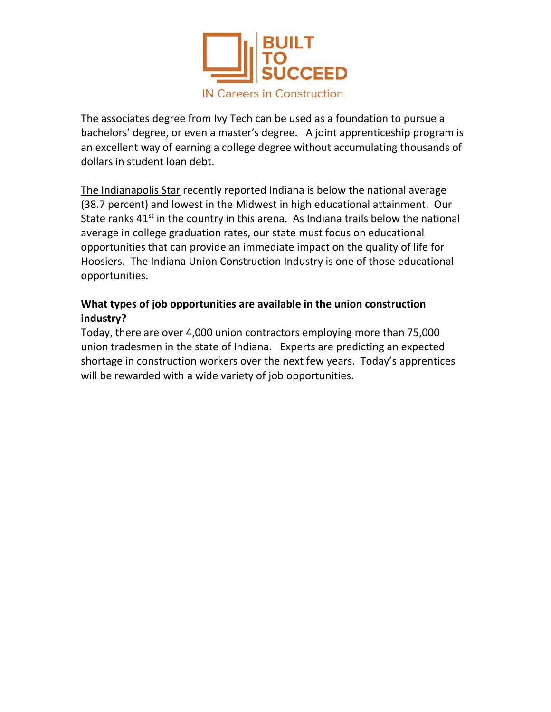

The associates degree from Ivy Tech can be used as a foundation to pursue a bachelors' degree, or even a master's degree. A joint apprenticeship program is an excellent way of earning a college degree without accumulating thousands of dollars in student loan debt.

The Indianapolis Star recently reported Indiana is below the national average (38.7 percent) and lowest in the Midwest in high educational attainment. Our State ranks  $41<sup>st</sup>$  in the country in this arena. As Indiana trails below the national average in college graduation rates, our state must focus on educational opportunities that can provide an immediate impact on the quality of life for Hoosiers. The Indiana Union Construction Industry is one of those educational opportunities.

# **What types of job opportunities are available in the union construction industry?**

Today, there are over 4,000 union contractors employing more than 75,000 union tradesmen in the state of Indiana. Experts are predicting an expected shortage in construction workers over the next few years. Today's apprentices will be rewarded with a wide variety of job opportunities.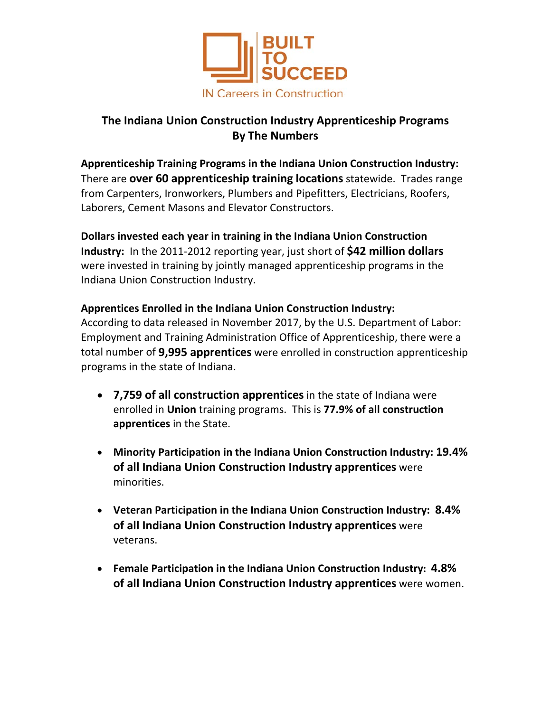

# **The Indiana Union Construction Industry Apprenticeship Programs By The Numbers**

**Apprenticeship Training Programs in the Indiana Union Construction Industry:** There are **over 60 apprenticeship training locations** statewide. Trades range from Carpenters, Ironworkers, Plumbers and Pipefitters, Electricians, Roofers, Laborers, Cement Masons and Elevator Constructors.

**Dollars invested each year in training in the Indiana Union Construction Industry:** In the 2011-2012 reporting year, just short of **\$42 million dollars** were invested in training by jointly managed apprenticeship programs in the Indiana Union Construction Industry.

## **Apprentices Enrolled in the Indiana Union Construction Industry:**

According to data released in November 2017, by the U.S. Department of Labor: Employment and Training Administration Office of Apprenticeship, there were a total number of **9,995 apprentices** were enrolled in construction apprenticeship programs in the state of Indiana.

- **7,759 of all construction apprentices**in the state of Indiana were enrolled in **Union** training programs. This is **77.9% of all construction apprentices** in the State.
- **Minority Participation in the Indiana Union Construction Industry: 19.4% of all Indiana Union Construction Industry apprentices** were minorities.
- **Veteran Participation in the Indiana Union Construction Industry: 8.4% of all Indiana Union Construction Industry apprentices** were veterans.
- **Female Participation in the Indiana Union Construction Industry: 4.8% of all Indiana Union Construction Industry apprentices** were women.